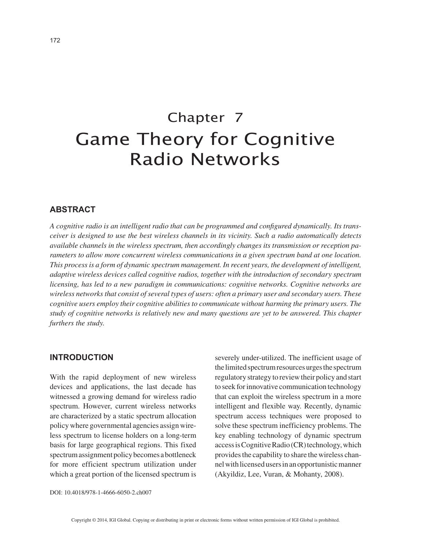# Chapter 7 Game Theory for Cognitive Radio Networks

## **ABSTRACT**

*A cognitive radio is an intelligent radio that can be programmed and configured dynamically. Its transceiver is designed to use the best wireless channels in its vicinity. Such a radio automatically detects available channels in the wireless spectrum, then accordingly changes its transmission or reception parameters to allow more concurrent wireless communications in a given spectrum band at one location. This process is a form of dynamic spectrum management. In recent years, the development of intelligent, adaptive wireless devices called cognitive radios, together with the introduction of secondary spectrum licensing, has led to a new paradigm in communications: cognitive networks. Cognitive networks are wireless networks that consist of several types of users: often a primary user and secondary users. These cognitive users employ their cognitive abilities to communicate without harming the primary users. The study of cognitive networks is relatively new and many questions are yet to be answered. This chapter furthers the study.*

### **INTRODUCTION**

With the rapid deployment of new wireless devices and applications, the last decade has witnessed a growing demand for wireless radio spectrum. However, current wireless networks are characterized by a static spectrum allocation policy where governmental agencies assign wireless spectrum to license holders on a long-term basis for large geographical regions. This fixed spectrum assignment policy becomes a bottleneck for more efficient spectrum utilization under which a great portion of the licensed spectrum is severely under-utilized. The inefficient usage of the limited spectrum resources urges the spectrum regulatory strategy to review their policy and start to seek for innovative communication technology that can exploit the wireless spectrum in a more intelligent and flexible way. Recently, dynamic spectrum access techniques were proposed to solve these spectrum inefficiency problems. The key enabling technology of dynamic spectrum access is Cognitive Radio (CR) technology, which provides the capability to share the wireless channel with licensed users in an opportunistic manner (Akyildiz, Lee, Vuran, & Mohanty, 2008).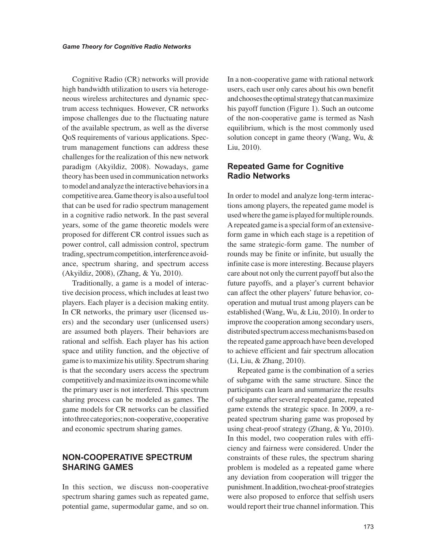Cognitive Radio (CR) networks will provide high bandwidth utilization to users via heterogeneous wireless architectures and dynamic spectrum access techniques. However, CR networks impose challenges due to the fluctuating nature of the available spectrum, as well as the diverse QoS requirements of various applications. Spectrum management functions can address these challenges for the realization of this new network paradigm (Akyildiz, 2008). Nowadays, game theory has been used in communication networks to model and analyze the interactive behaviors in a competitive area. Game theory is also a useful tool that can be used for radio spectrum management in a cognitive radio network. In the past several years, some of the game theoretic models were proposed for different CR control issues such as power control, call admission control, spectrum trading, spectrum competition, interference avoidance, spectrum sharing, and spectrum access (Akyildiz, 2008), (Zhang, & Yu, 2010).

Traditionally, a game is a model of interactive decision process, which includes at least two players. Each player is a decision making entity. In CR networks, the primary user (licensed users) and the secondary user (unlicensed users) are assumed both players. Their behaviors are rational and selfish. Each player has his action space and utility function, and the objective of game is to maximize his utility. Spectrum sharing is that the secondary users access the spectrum competitively and maximize its own income while the primary user is not interfered. This spectrum sharing process can be modeled as games. The game models for CR networks can be classified into three categories; non-cooperative, cooperative and economic spectrum sharing games.

# **NON-COOPERATIVE SPECTRUM SHARING GAMES**

In this section, we discuss non-cooperative spectrum sharing games such as repeated game, potential game, supermodular game, and so on. In a non-cooperative game with rational network users, each user only cares about his own benefit and chooses the optimal strategy that can maximize his payoff function (Figure 1). Such an outcome of the non-cooperative game is termed as Nash equilibrium, which is the most commonly used solution concept in game theory (Wang, Wu, & Liu, 2010).

# **Repeated Game for Cognitive Radio Networks**

In order to model and analyze long-term interactions among players, the repeated game model is used where the game is played for multiple rounds. A repeated game is a special form of an extensiveform game in which each stage is a repetition of the same strategic-form game. The number of rounds may be finite or infinite, but usually the infinite case is more interesting. Because players care about not only the current payoff but also the future payoffs, and a player's current behavior can affect the other players' future behavior, cooperation and mutual trust among players can be established (Wang, Wu, & Liu, 2010). In order to improve the cooperation among secondary users, distributed spectrum access mechanisms based on the repeated game approach have been developed to achieve efficient and fair spectrum allocation (Li, Liu, & Zhang, 2010).

Repeated game is the combination of a series of subgame with the same structure. Since the participants can learn and summarize the results of subgame after several repeated game, repeated game extends the strategic space. In 2009, a repeated spectrum sharing game was proposed by using cheat-proof strategy (Zhang, & Yu, 2010). In this model, two cooperation rules with efficiency and fairness were considered. Under the constraints of these rules, the spectrum sharing problem is modeled as a repeated game where any deviation from cooperation will trigger the punishment. In addition, two cheat-proof strategies were also proposed to enforce that selfish users would report their true channel information. This